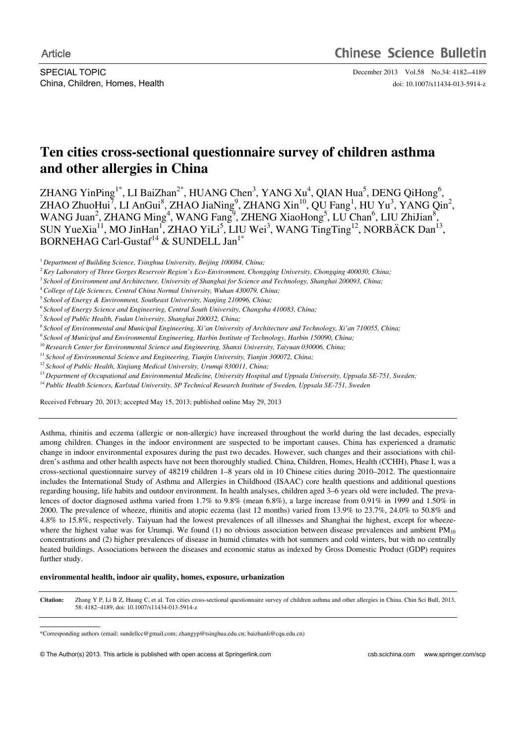SPECIAL TOPIC December 2013 Vol.58 No.34: 4182-4189

China, Children, Homes, Health doi: 10.1007/s11434-013-5914-z

# **Ten cities cross-sectional questionnaire survey of children asthma and other allergies in China**

ZHANG YinPing<sup>1\*</sup>, LI BaiZhan<sup>2\*</sup>, HUANG Chen<sup>3</sup>, YANG Xu<sup>4</sup>, QIAN Hua<sup>5</sup>, DENG QiHong<sup>6</sup>,  $ZHAO ZhuoHui<sup>7</sup>, LI AnGui<sup>8</sup>, ZHAO JiaNing<sup>9</sup>, ZHANG Xin<sup>10</sup>, QU Fang<sup>1</sup>, HU Yu<sup>3</sup>, YANG Qin<sup>2</sup>,$ WANG Juan<sup>2</sup>, ZHANG Ming<sup>4</sup>, WANG Fang<sup>9</sup>, ZHENG XiaoHong<sup>5</sup>, LU Chan<sup>6</sup>, LIU ZhiJian<sup>8</sup>, SUN YueXia<sup>11</sup>, MO JinHan<sup>1</sup>, ZHAO YiLi<sup>5</sup>, LIU Wei<sup>3</sup>, WANG TingTing<sup>12</sup>, NORBÄCK Dan<sup>13</sup>, BORNEHAG Carl-Gustaf<sup>14</sup> & SUNDELL Jan<sup>1\*</sup>

<sup>9</sup>*School of Municipal and Environmental Engineering, Harbin Institute of Technology, Harbin 150090, China;* 

<sup>11</sup> School of Environmental Science and Engineering, Tianjin University, Tianjin 300072, China;

Received February 20, 2013; accepted May 15, 2013; published online May 29, 2013

Asthma, rhinitis and eczema (allergic or non-allergic) have increased throughout the world during the last decades, especially among children. Changes in the indoor environment are suspected to be important causes. China has experienced a dramatic change in indoor environmental exposures during the past two decades. However, such changes and their associations with children's asthma and other health aspects have not been thoroughly studied. China, Children, Homes, Health (CCHH), Phase I, was a cross-sectional questionnaire survey of 48219 children 1–8 years old in 10 Chinese cities during 2010–2012. The questionnaire includes the International Study of Asthma and Allergies in Childhood (ISAAC) core health questions and additional questions regarding housing, life habits and outdoor environment. In health analyses, children aged 3–6 years old were included. The prevalences of doctor diagnosed asthma varied from 1.7% to 9.8% (mean 6.8%), a large increase from 0.91% in 1999 and 1.50% in 2000. The prevalence of wheeze, rhinitis and atopic eczema (last 12 months) varied from 13.9% to 23.7%, 24.0% to 50.8% and 4.8% to 15.8%, respectively. Taiyuan had the lowest prevalences of all illnesses and Shanghai the highest, except for wheezewhere the highest value was for Urumqi. We found (1) no obvious association between disease prevalences and ambient  $PM_{10}$ concentrations and (2) higher prevalences of disease in humid climates with hot summers and cold winters, but with no centrally heated buildings. Associations between the diseases and economic status as indexed by Gross Domestic Product (GDP) requires further study.

### **environmental health, indoor air quality, homes, exposure, urbanization**

**Citation:** Zhang Y P, Li B Z, Huang C, et al. Ten cities cross-sectional questionnaire survey of children asthma and other allergies in China. Chin Sci Bull, 2013, 58: 4182-4189, doi: 10.1007/s11434-013-5914-z

 $\overline{a}$ 

<sup>&</sup>lt;sup>1</sup> Department of Building Science, Tsinghua University, Beijing 100084, China;

<sup>2</sup>*Key Laboratory of Three Gorges Reservoir Region's Eco-Environment, Chongqing University, Chongqing 400030, China;* 

<sup>3</sup>*School of Environment and Architecture, University of Shanghai for Science and Technology, Shanghai 200093, China;* 

<sup>4</sup>*College of Life Sciences, Central China Normal University, Wuhan 430079, China;* 

<sup>5</sup>*School of Energy & Environment, Southeast University, Nanjing 210096, China;* 

<sup>6</sup>*School of Energy Science and Engineering, Central South University, Changsha 410083, China;* 

<sup>7</sup>*School of Public Health, Fudan University, Shanghai 200032, China;* 

<sup>8</sup>*School of Environmental and Municipal Engineering, Xi'an University of Architecture and Technology, Xi'an 710055, China;* 

<sup>10</sup>*Research Center for Environmental Science and Engineering, Shanxi University, Taiyuan 030006, China;* 

<sup>&</sup>lt;sup>12</sup> School of Public Health, Xinjiang Medical University, Urumqi 830011, China;

<sup>&</sup>lt;sup>13</sup> Department of Occupational and Environmental Medicine, University Hospital and Uppsala University, Uppsala SE-751, Sweden;

<sup>&</sup>lt;sup>14</sup> Public Health Sciences, Karlstad University, SP Technical Research Institute of Sweden, Uppsala SE-751, Sweden

<sup>\*</sup>Corresponding authors (email: sundellcc@gmail.com; zhangyp@tsinghua.edu.cn; baizhanli@cqu.edu.cn)

<sup>©</sup> The Author(s) 2013. This article is published with open access at Springerlink.com csb.scichina.com www.springer.com/scp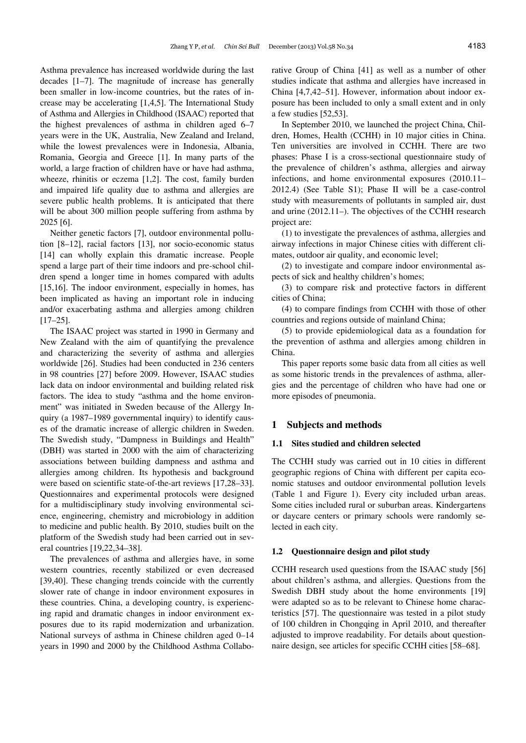Asthma prevalence has increased worldwide during the last decades [1–7]. The magnitude of increase has generally been smaller in low-income countries, but the rates of increase may be accelerating [1,4,5]. The International Study of Asthma and Allergies in Childhood (ISAAC) reported that the highest prevalences of asthma in children aged 6–7 years were in the UK, Australia, New Zealand and Ireland, while the lowest prevalences were in Indonesia, Albania, Romania, Georgia and Greece [1]. In many parts of the world, a large fraction of children have or have had asthma, wheeze, rhinitis or eczema [1,2]. The cost, family burden and impaired life quality due to asthma and allergies are severe public health problems. It is anticipated that there will be about 300 million people suffering from asthma by 2025 [6].

Neither genetic factors [7], outdoor environmental pollution [8–12], racial factors [13], nor socio-economic status [14] can wholly explain this dramatic increase. People spend a large part of their time indoors and pre-school children spend a longer time in homes compared with adults [15,16]. The indoor environment, especially in homes, has been implicated as having an important role in inducing and/or exacerbating asthma and allergies among children [17–25].

The ISAAC project was started in 1990 in Germany and New Zealand with the aim of quantifying the prevalence and characterizing the severity of asthma and allergies worldwide [26]. Studies had been conducted in 236 centers in 98 countries [27] before 2009. However, ISAAC studies lack data on indoor environmental and building related risk factors. The idea to study "asthma and the home environment" was initiated in Sweden because of the Allergy Inquiry (a 1987–1989 governmental inquiry) to identify causes of the dramatic increase of allergic children in Sweden. The Swedish study, "Dampness in Buildings and Health" (DBH) was started in 2000 with the aim of characterizing associations between building dampness and asthma and allergies among children. Its hypothesis and background were based on scientific state-of-the-art reviews [17,28–33]. Questionnaires and experimental protocols were designed for a multidisciplinary study involving environmental science, engineering, chemistry and microbiology in addition to medicine and public health. By 2010, studies built on the platform of the Swedish study had been carried out in several countries [19,22,34–38].

The prevalences of asthma and allergies have, in some western countries, recently stabilized or even decreased [39,40]. These changing trends coincide with the currently slower rate of change in indoor environment exposures in these countries. China, a developing country, is experiencing rapid and dramatic changes in indoor environment exposures due to its rapid modernization and urbanization. National surveys of asthma in Chinese children aged 0–14 years in 1990 and 2000 by the Childhood Asthma Collaborative Group of China [41] as well as a number of other studies indicate that asthma and allergies have increased in China [4,7,42–51]. However, information about indoor exposure has been included to only a small extent and in only a few studies [52,53].

In September 2010, we launched the project China, Children, Homes, Health (CCHH) in 10 major cities in China. Ten universities are involved in CCHH. There are two phases: Phase I is a cross-sectional questionnaire study of the prevalence of children's asthma, allergies and airway infections, and home environmental exposures (2010.11– 2012.4) (See Table S1); Phase II will be a case-control study with measurements of pollutants in sampled air, dust and urine (2012.11–). The objectives of the CCHH research project are:

(1) to investigate the prevalences of asthma, allergies and airway infections in major Chinese cities with different climates, outdoor air quality, and economic level;

(2) to investigate and compare indoor environmental aspects of sick and healthy children's homes;

(3) to compare risk and protective factors in different cities of China;

(4) to compare findings from CCHH with those of other countries and regions outside of mainland China;

(5) to provide epidemiological data as a foundation for the prevention of asthma and allergies among children in China.

This paper reports some basic data from all cities as well as some historic trends in the prevalences of asthma, allergies and the percentage of children who have had one or more episodes of pneumonia.

## **1 Subjects and methods**

## **1.1 Sites studied and children selected**

The CCHH study was carried out in 10 cities in different geographic regions of China with different per capita economic statuses and outdoor environmental pollution levels (Table 1 and Figure 1). Every city included urban areas. Some cities included rural or suburban areas. Kindergartens or daycare centers or primary schools were randomly selected in each city.

#### **1.2 Questionnaire design and pilot study**

CCHH research used questions from the ISAAC study [56] about children's asthma, and allergies. Questions from the Swedish DBH study about the home environments [19] were adapted so as to be relevant to Chinese home characteristics [57]. The questionnaire was tested in a pilot study of 100 children in Chongqing in April 2010, and thereafter adjusted to improve readability. For details about questionnaire design, see articles for specific CCHH cities [58–68].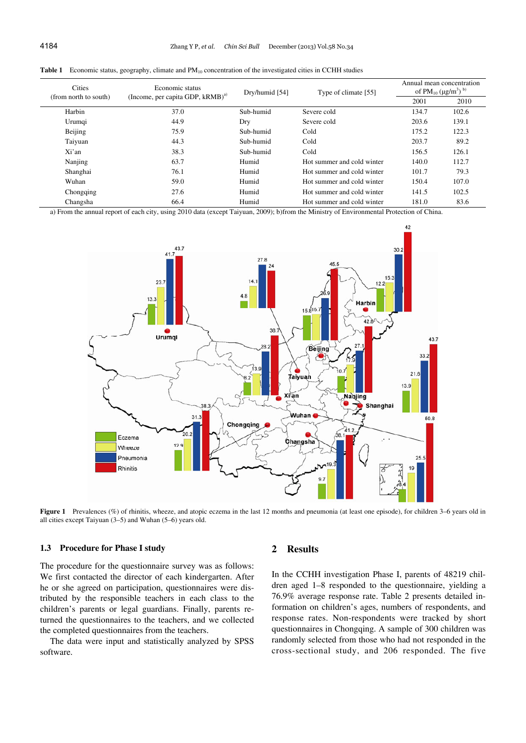| <b>Cities</b><br>(from north to south) | Economic status<br>(Income, per capita GDP, kRMB) <sup>a)</sup> | Dry/humid [54] | Type of climate [55]       | Annual mean concentration<br>of $PM_{10} (\mu g/m^3)$ <sup>b)</sup> |       |  |
|----------------------------------------|-----------------------------------------------------------------|----------------|----------------------------|---------------------------------------------------------------------|-------|--|
|                                        |                                                                 |                |                            | 2001                                                                | 2010  |  |
| Harbin                                 | 37.0                                                            | Sub-humid      | Severe cold                | 134.7                                                               | 102.6 |  |
| Urumqi                                 | 44.9                                                            | Dry            | Severe cold                | 203.6                                                               | 139.1 |  |
| Beijing                                | 75.9                                                            | Sub-humid      | Cold                       | 175.2                                                               | 122.3 |  |
| Taiyuan                                | 44.3                                                            | Sub-humid      | Cold                       | 203.7                                                               | 89.2  |  |
| Xi'an                                  | 38.3                                                            | Sub-humid      | Cold                       | 156.5                                                               | 126.1 |  |
| Nanjing                                | 63.7                                                            | Humid          | Hot summer and cold winter | 140.0                                                               | 112.7 |  |
| Shanghai                               | 76.1                                                            | Humid          | Hot summer and cold winter | 101.7                                                               | 79.3  |  |
| Wuhan                                  | 59.0                                                            | Humid          | Hot summer and cold winter | 150.4                                                               | 107.0 |  |
| Chongqing                              | 27.6                                                            | Humid          | Hot summer and cold winter | 141.5                                                               | 102.5 |  |
| Changsha                               | 66.4                                                            | Humid          | Hot summer and cold winter | 181.0                                                               | 83.6  |  |

**Table 1** Economic status, geography, climate and PM<sub>10</sub> concentration of the investigated cities in CCHH studies

a) From the annual report of each city, using 2010 data (except Taiyuan, 2009); b)from the Ministry of Environmental Protection of China.



**Figure 1** Prevalences (%) of rhinitis, wheeze, and atopic eczema in the last 12 months and pneumonia (at least one episode), for children 3–6 years old in all cities except Taiyuan (3–5) and Wuhan (5–6) years old.

## **1.3 Procedure for Phase I study**

The procedure for the questionnaire survey was as follows: We first contacted the director of each kindergarten. After he or she agreed on participation, questionnaires were distributed by the responsible teachers in each class to the children's parents or legal guardians. Finally, parents returned the questionnaires to the teachers, and we collected the completed questionnaires from the teachers.

The data were input and statistically analyzed by SPSS software.

## **2 Results**

In the CCHH investigation Phase I, parents of 48219 children aged 1–8 responded to the questionnaire, yielding a 76.9% average response rate. Table 2 presents detailed information on children's ages, numbers of respondents, and response rates. Non-respondents were tracked by short questionnaires in Chongqing. A sample of 300 children was randomly selected from those who had not responded in the cross-sectional study, and 206 responded. The five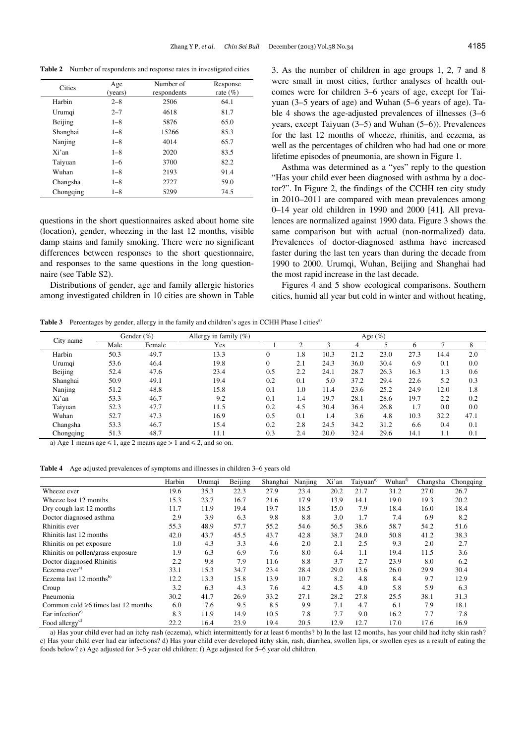**Table 2** Number of respondents and response rates in investigated cities

| Cities    | Age<br>(years) | Number of<br>respondents | Response<br>rate $(\% )$ |
|-----------|----------------|--------------------------|--------------------------|
| Harbin    | $2 - 8$        | 2506                     | 64.1                     |
| Urumqi    | $2 - 7$        | 4618                     | 81.7                     |
| Beijing   | $1 - 8$        | 5876                     | 65.0                     |
| Shanghai  | $1 - 8$        | 15266                    | 85.3                     |
| Nanjing   | $1 - 8$        | 4014                     | 65.7                     |
| Xi'an     | $1 - 8$        | 2020                     | 83.5                     |
| Taiyuan   | $1 - 6$        | 3700                     | 82.2                     |
| Wuhan     | $1 - 8$        | 2193                     | 91.4                     |
| Changsha  | $1 - 8$        | 2727                     | 59.0                     |
| Chongqing | $1 - 8$        | 5299                     | 74.5                     |

questions in the short questionnaires asked about home site (location), gender, wheezing in the last 12 months, visible damp stains and family smoking. There were no significant differences between responses to the short questionnaire, and responses to the same questions in the long questionnaire (see Table S2).

Distributions of gender, age and family allergic histories among investigated children in 10 cities are shown in Table 3. As the number of children in age groups 1, 2, 7 and 8 were small in most cities, further analyses of health outcomes were for children 3–6 years of age, except for Taiyuan (3–5 years of age) and Wuhan (5–6 years of age). Table 4 shows the age-adjusted prevalences of illnesses (3–6 years, except Taiyuan (3–5) and Wuhan (5–6)). Prevalences for the last 12 months of wheeze, rhinitis, and eczema, as well as the percentages of children who had had one or more lifetime episodes of pneumonia, are shown in Figure 1.

Asthma was determined as a "yes" reply to the question "Has your child ever been diagnosed with asthma by a doctor?". In Figure 2, the findings of the CCHH ten city study in 2010–2011 are compared with mean prevalences among 0–14 year old children in 1990 and 2000 [41]. All prevalences are normalized against 1990 data. Figure 3 shows the same comparison but with actual (non-normalized) data. Prevalences of doctor-diagnosed asthma have increased faster during the last ten years than during the decade from 1990 to 2000. Urumqi, Wuhan, Beijing and Shanghai had the most rapid increase in the last decade.

Figures 4 and 5 show ecological comparisons. Southern cities, humid all year but cold in winter and without heating,

Table 3 Percentages by gender, allergy in the family and children's ages in CCHH Phase I cities<sup>a)</sup>

|           | Gender $(\% )$ |        | Allergy in family $(\%)$ | Age $(\%)$     |     |      |      |      |      |      |      |
|-----------|----------------|--------|--------------------------|----------------|-----|------|------|------|------|------|------|
| City name | Male           | Female | Yes                      |                | ◠   |      | 4    |      |      |      | 8    |
| Harbin    | 50.3           | 49.7   | 13.3                     | $\overline{0}$ | 1.8 | 10.3 | 21.2 | 23.0 | 27.3 | 14.4 | 2.0  |
| Urumqi    | 53.6           | 46.4   | 19.8                     | 0              | 2.1 | 24.3 | 36.0 | 30.4 | 6.9  | 0.1  | 0.0  |
| Beijing   | 52.4           | 47.6   | 23.4                     | 0.5            | 2.2 | 24.1 | 28.7 | 26.3 | 16.3 | 1.3  | 0.6  |
| Shanghai  | 50.9           | 49.1   | 19.4                     | 0.2            | 0.1 | 5.0  | 37.2 | 29.4 | 22.6 | 5.2  | 0.3  |
| Nanjing   | 51.2           | 48.8   | 15.8                     | 0.1            | 1.0 | 11.4 | 23.6 | 25.2 | 24.9 | 12.0 | 1.8  |
| Xi'an     | 53.3           | 46.7   | 9.2                      | 0.1            | 1.4 | 19.7 | 28.1 | 28.6 | 19.7 | 2.2  | 0.2  |
| Taiyuan   | 52.3           | 47.7   | 11.5                     | 0.2            | 4.5 | 30.4 | 36.4 | 26.8 | 1.7  | 0.0  | 0.0  |
| Wuhan     | 52.7           | 47.3   | 16.9                     | 0.5            | 0.1 | 1.4  | 3.6  | 4.8  | 10.3 | 32.2 | 47.1 |
| Changsha  | 53.3           | 46.7   | 15.4                     | 0.2            | 2.8 | 24.5 | 34.2 | 31.2 | 6.6  | 0.4  | 0.1  |
| Chongqing | 51.3           | 48.7   | 11.1                     | 0.3            | 2.4 | 20.0 | 32.4 | 29.6 | 14.1 | 1.1  | 0.1  |

a) Age 1 means age  $\leq 1$ , age 2 means age  $> 1$  and  $\leq 2$ , and so on.

**Table 4** Age adjusted prevalences of symptoms and illnesses in children 3–6 years old

|                                           | Harbin | Urumqi | Beijing | Shanghai | Nanjing | Xi'an | Taiyuan <sup>e)</sup> | Wuhan <sup>t)</sup> | Changsha | Chongqing |
|-------------------------------------------|--------|--------|---------|----------|---------|-------|-----------------------|---------------------|----------|-----------|
| Wheeze ever                               | 19.6   | 35.3   | 22.3    | 27.9     | 23.4    | 20.2  | 21.7                  | 31.2                | 27.0     | 26.7      |
| Wheeze last 12 months                     | 15.3   | 23.7   | 16.7    | 21.6     | 17.9    | 13.9  | 14.1                  | 19.0                | 19.3     | 20.2      |
| Dry cough last 12 months                  | 11.7   | 11.9   | 19.4    | 19.7     | 18.5    | 15.0  | 7.9                   | 18.4                | 16.0     | 18.4      |
| Doctor diagnosed asthma                   | 2.9    | 3.9    | 6.3     | 9.8      | 8.8     | 3.0   | 1.7                   | 7.4                 | 6.9      | 8.2       |
| Rhinitis ever                             | 55.3   | 48.9   | 57.7    | 55.2     | 54.6    | 56.5  | 38.6                  | 58.7                | 54.2     | 51.6      |
| Rhinitis last 12 months                   | 42.0   | 43.7   | 45.5    | 43.7     | 42.8    | 38.7  | 24.0                  | 50.8                | 41.2     | 38.3      |
| Rhinitis on pet exposure                  | 1.0    | 4.3    | 3.3     | 4.6      | 2.0     | 2.1   | 2.5                   | 9.3                 | 2.0      | 2.7       |
| Rhinitis on pollen/grass exposure         | 1.9    | 6.3    | 6.9     | 7.6      | 8.0     | 6.4   | 1.1                   | 19.4                | 11.5     | 3.6       |
| Doctor diagnosed Rhinitis                 | 2.2    | 9.8    | 7.9     | 11.6     | 8.8     | 3.7   | 2.7                   | 23.9                | 8.0      | 6.2       |
| Eczema ever <sup>a)</sup>                 | 33.1   | 15.3   | 34.7    | 23.4     | 28.4    | 29.0  | 13.6                  | 26.0                | 29.9     | 30.4      |
| Eczema last $12$ months <sup>b)</sup>     | 12.2   | 13.3   | 15.8    | 13.9     | 10.7    | 8.2   | 4.8                   | 8.4                 | 9.7      | 12.9      |
| Croup                                     | 3.2    | 6.3    | 4.3     | 7.6      | 4.2     | 4.5   | 4.0                   | 5.8                 | 5.9      | 6.3       |
| Pneumonia                                 | 30.2   | 41.7   | 26.9    | 33.2     | 27.1    | 28.2  | 27.8                  | 25.5                | 38.1     | 31.3      |
| Common cold $\geq 6$ times last 12 months | 6.0    | 7.6    | 9.5     | 8.5      | 9.9     | 7.1   | 4.7                   | 6.1                 | 7.9      | 18.1      |
| Ear infection $c$                         | 8.3    | 11.9   | 14.9    | 10.5     | 7.8     | 7.7   | 9.0                   | 16.2                | 7.7      | 7.8       |
| Food allergy <sup>d)</sup>                | 22.2   | 16.4   | 23.9    | 19.4     | 20.5    | 12.9  | 12.7                  | 17.0                | 17.6     | 16.9      |

a) Has your child ever had an itchy rash (eczema), which intermittently for at least 6 months? b) In the last 12 months, has your child had itchy skin rash? c) Has your child ever had ear infections? d) Has your child ever developed itchy skin, rash, diarrhea, swollen lips, or swollen eyes as a result of eating the foods below? e) Age adjusted for 3–5 year old children; f) Age adjusted for 5–6 year old children.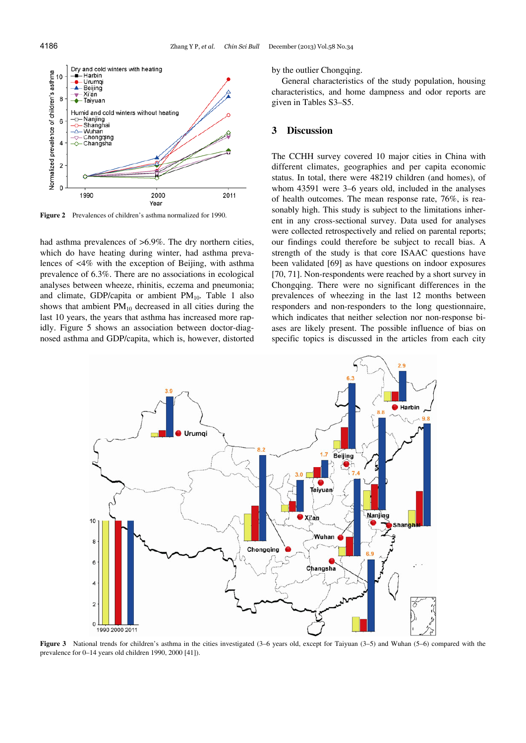

**Figure 2** Prevalences of children's asthma normalized for 1990.

had asthma prevalences of  $>6.9\%$ . The dry northern cities, which do have heating during winter, had asthma prevalences of <4% with the exception of Beijing, with asthma prevalence of 6.3%. There are no associations in ecological analyses between wheeze, rhinitis, eczema and pneumonia; and climate, GDP/capita or ambient  $PM_{10}$ . Table 1 also shows that ambient  $PM_{10}$  decreased in all cities during the last 10 years, the years that asthma has increased more rapidly. Figure 5 shows an association between doctor-diagnosed asthma and GDP/capita, which is, however, distorted by the outlier Chongqing.

General characteristics of the study population, housing characteristics, and home dampness and odor reports are given in Tables S3–S5.

## **3 Discussion**

The CCHH survey covered 10 major cities in China with different climates, geographies and per capita economic status. In total, there were 48219 children (and homes), of whom 43591 were 3–6 years old, included in the analyses of health outcomes. The mean response rate, 76%, is reasonably high. This study is subject to the limitations inherent in any cross-sectional survey. Data used for analyses were collected retrospectively and relied on parental reports; our findings could therefore be subject to recall bias. A strength of the study is that core ISAAC questions have been validated [69] as have questions on indoor exposures [70, 71]. Non-respondents were reached by a short survey in Chongqing. There were no significant differences in the prevalences of wheezing in the last 12 months between responders and non-responders to the long questionnaire, which indicates that neither selection nor non-response biases are likely present. The possible influence of bias on specific topics is discussed in the articles from each city



**Figure 3** National trends for children's asthma in the cities investigated (3–6 years old, except for Taiyuan (3–5) and Wuhan (5–6) compared with the prevalence for 0–14 years old children 1990, 2000 [41]).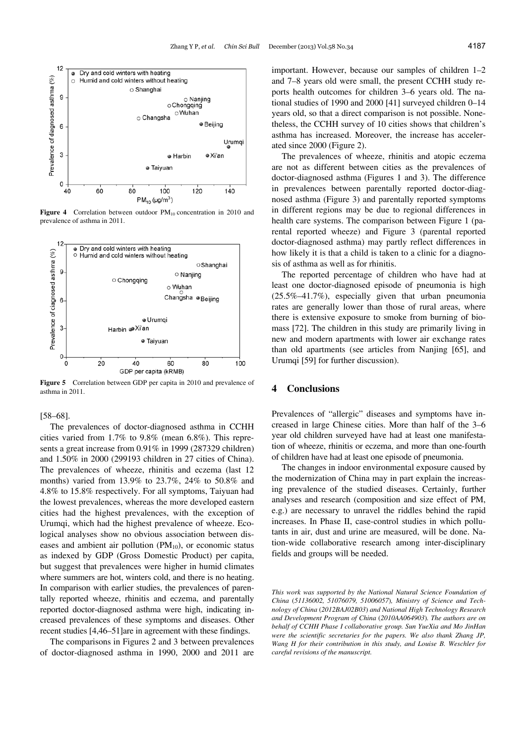

**Figure 4** Correlation between outdoor PM<sub>10</sub> concentration in 2010 and prevalence of asthma in 2011.



**Figure 5** Correlation between GDP per capita in 2010 and prevalence of asthma in 2011.

#### [58–68].

The prevalences of doctor-diagnosed asthma in CCHH cities varied from 1.7% to 9.8% (mean 6.8%). This represents a great increase from 0.91% in 1999 (287329 children) and 1.50% in 2000 (299193 children in 27 cities of China). The prevalences of wheeze, rhinitis and eczema (last 12 months) varied from 13.9% to 23.7%, 24% to 50.8% and 4.8% to 15.8% respectively. For all symptoms, Taiyuan had the lowest prevalences, whereas the more developed eastern cities had the highest prevalences, with the exception of Urumqi, which had the highest prevalence of wheeze. Ecological analyses show no obvious association between diseases and ambient air pollution  $(PM_{10})$ , or economic status as indexed by GDP (Gross Domestic Product) per capita, but suggest that prevalences were higher in humid climates where summers are hot, winters cold, and there is no heating. In comparison with earlier studies, the prevalences of parentally reported wheeze, rhinitis and eczema, and parentally reported doctor-diagnosed asthma were high, indicating increased prevalences of these symptoms and diseases. Other recent studies [4,46–51]are in agreement with these findings.

The comparisons in Figures 2 and 3 between prevalences of doctor-diagnosed asthma in 1990, 2000 and 2011 are important. However, because our samples of children 1–2 and 7–8 years old were small, the present CCHH study reports health outcomes for children 3–6 years old. The national studies of 1990 and 2000 [41] surveyed children 0–14 years old, so that a direct comparison is not possible. Nonetheless, the CCHH survey of 10 cities shows that children's asthma has increased. Moreover, the increase has accelerated since 2000 (Figure 2).

The prevalences of wheeze, rhinitis and atopic eczema are not as different between cities as the prevalences of doctor-diagnosed asthma (Figures 1 and 3). The difference in prevalences between parentally reported doctor-diagnosed asthma (Figure 3) and parentally reported symptoms in different regions may be due to regional differences in health care systems. The comparison between Figure 1 (parental reported wheeze) and Figure 3 (parental reported doctor-diagnosed asthma) may partly reflect differences in how likely it is that a child is taken to a clinic for a diagnosis of asthma as well as for rhinitis.

The reported percentage of children who have had at least one doctor-diagnosed episode of pneumonia is high (25.5%–41.7%), especially given that urban pneumonia rates are generally lower than those of rural areas, where there is extensive exposure to smoke from burning of biomass [72]. The children in this study are primarily living in new and modern apartments with lower air exchange rates than old apartments (see articles from Nanjing [65], and Urumqi [59] for further discussion).

#### **4 Conclusions**

Prevalences of "allergic" diseases and symptoms have increased in large Chinese cities. More than half of the 3–6 year old children surveyed have had at least one manifestation of wheeze, rhinitis or eczema, and more than one-fourth of children have had at least one episode of pneumonia.

The changes in indoor environmental exposure caused by the modernization of China may in part explain the increasing prevalence of the studied diseases. Certainly, further analyses and research (composition and size effect of PM, e.g.) are necessary to unravel the riddles behind the rapid increases. In Phase II, case-control studies in which pollutants in air, dust and urine are measured, will be done. Nation-wide collaborative research among inter-disciplinary fields and groups will be needed.

*This work was supported by the National Natural Science Foundation of China* (*51136002, 51076079, 51006057*)*, Ministry of Science and Technology of China* (*2012BAJ02B03*) *and National High Technology Research and Development Program of China* (*2010AA064903*)*. The authors are on behalf of CCHH Phase I collaborative group. Sun YueXia and Mo JinHan were the scientific secretaries for the papers. We also thank Zhang JP, Wang H for their contribution in this study, and Louise B. Weschler for careful revisions of the manuscript.*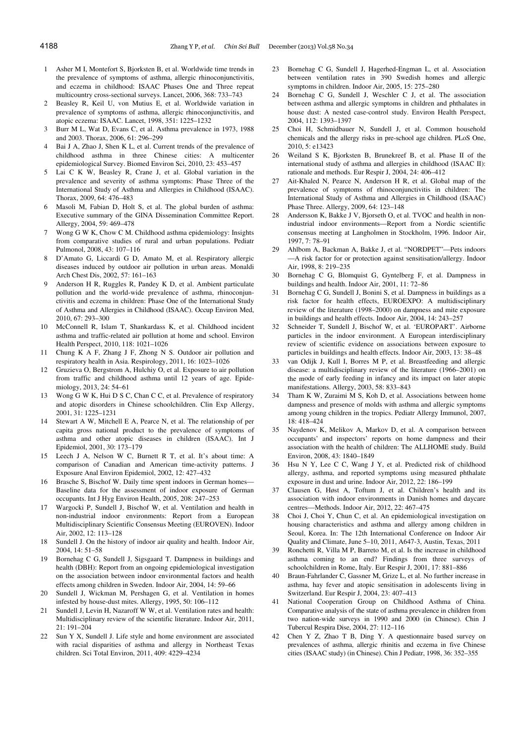- 1 Asher M I, Montefort S, Bjorksten B, et al. Worldwide time trends in the prevalence of symptoms of asthma, allergic rhinoconjunctivitis, and eczema in childhood: ISAAC Phases One and Three repeat multicountry cross-sectional surveys. Lancet, 2006, 368: 733–743
- 2 Beasley R, Keil U, von Mutius E, et al. Worldwide variation in prevalence of symptoms of asthma, allergic rhinoconjunctivitis, and atopic eczema: ISAAC. Lancet, 1998, 351: 1225–1232
- 3 Burr M L, Wat D, Evans C, et al. Asthma prevalence in 1973, 1988 and 2003. Thorax, 2006, 61: 296–299
- 4 Bai J A, Zhao J, Shen K L, et al. Current trends of the prevalence of childhood asthma in three Chinese cities: A multicenter epidemiological Survey. Biomed Environ Sci, 2010, 23: 453–457
- 5 Lai C K W, Beasley R, Crane J, et al. Global variation in the prevalence and severity of asthma symptoms: Phase Three of the International Study of Asthma and Allergies in Childhood (ISAAC). Thorax, 2009, 64: 476–483
- 6 Masoli M, Fabian D, Holt S, et al. The global burden of asthma: Executive summary of the GINA Dissemination Committee Report. Allergy, 2004, 59: 469–478
- 7 Wong G W K, Chow C M. Childhood asthma epidemiology: Insights from comparative studies of rural and urban populations. Pediatr Pulmonol, 2008, 43: 107–116
- 8 D'Amato G, Liccardi G D, Amato M, et al. Respiratory allergic diseases induced by outdoor air pollution in urban areas. Monaldi Arch Chest Dis, 2002, 57: 161–163
- 9 Anderson H R, Ruggles R, Pandey K D, et al. Ambient particulate pollution and the world-wide prevalence of asthma, rhinoconjunctivitis and eczema in children: Phase One of the International Study of Asthma and Allergies in Childhood (ISAAC). Occup Environ Med, 2010, 67: 293–300
- 10 McConnell R, Islam T, Shankardass K, et al. Childhood incident asthma and traffic-related air pollution at home and school. Environ Health Perspect, 2010, 118: 1021–1026
- 11 Chung K A F, Zhang J F, Zhong N S. Outdoor air pollution and respiratory health in Asia. Respirology, 2011, 16: 1023–1026
- 12 Gruzieva O, Bergstrom A, Hulchiy O, et al. Exposure to air pollution from traffic and childhood asthma until 12 years of age. Epidemiology, 2013, 24: 54–61
- 13 Wong G W K, Hui D S C, Chan C C, et al. Prevalence of respiratory and atopic disorders in Chinese schoolchildren. Clin Exp Allergy, 2001, 31: 1225–1231
- 14 Stewart A W, Mitchell E A, Pearce N, et al. The relationship of per capita gross national product to the prevalence of symptoms of asthma and other atopic diseases in children (ISAAC). Int J Epidemiol, 2001, 30: 173–179
- 15 Leech J A, Nelson W C, Burnett R T, et al. It's about time: A comparison of Canadian and American time-activity patterns. J Exposure Anal Environ Epidemiol, 2002, 12: 427–432
- 16 Brasche S, Bischof W. Daily time spent indoors in German homes— Baseline data for the assessment of indoor exposure of German occupants. Int J Hyg Environ Health, 2005, 208: 247–253
- Wargocki P, Sundell J, Bischof W, et al. Ventilation and health in non-industrial indoor environments: Report from a European Multidisciplinary Scientific Consensus Meeting (EUROVEN). Indoor Air, 2002, 12: 113–128
- 18 Sundell J. On the history of indoor air quality and health. Indoor Air, 2004, 14: 51–58
- 19 Bornehag C G, Sundell J, Sigsgaard T. Dampness in buildings and health (DBH): Report from an ongoing epidemiological investigation on the association between indoor environmental factors and health effects among children in Sweden. Indoor Air, 2004, 14: 59–66
- 20 Sundell J, Wickman M, Pershagen G, et al. Ventilation in homes infested by house-dust mites. Allergy, 1995, 50: 106–112
- 21 Sundell J, Levin H, Nazaroff W W, et al. Ventilation rates and health: Multidisciplinary review of the scientific literature. Indoor Air, 2011, 21: 191–204
- 22 Sun Y X, Sundell J. Life style and home environment are associated with racial disparities of asthma and allergy in Northeast Texas children. Sci Total Environ, 2011, 409: 4229–4234
- 23 Bornehag C G, Sundell J, Hagerhed-Engman L, et al. Association between ventilation rates in 390 Swedish homes and allergic symptoms in children. Indoor Air, 2005, 15: 275–280
- 24 Bornehag C G, Sundell J, Weschler C J, et al. The association between asthma and allergic symptoms in children and phthalates in house dust: A nested case-control study. Environ Health Perspect, 2004, 112: 1393–1397
- 25 Choi H, Schmidbauer N, Sundell J, et al. Common household chemicals and the allergy risks in pre-school age children. PLoS One, 2010, 5: e13423
- 26 Weiland S K, Bjorksten B, Brunekreef B, et al. Phase II of the international study of asthma and allergies in childhood (ISAAC II): rationale and methods. Eur Respir J, 2004, 24: 406–412
- 27 Ait-Khaled N, Pearce N, Anderson H R, et al. Global map of the prevalence of symptoms of rhinoconjunctivitis in children: The International Study of Asthma and Allergies in Childhood (ISAAC) Phase Three. Allergy, 2009, 64: 123–148
- 28 Andersson K, Bakke J V, Bjorseth O, et al. TVOC and health in nonindustrial indoor environments—Report from a Nordic scientific consensus meeting at Langholmen in Stockholm, 1996. Indoor Air, 1997, 7: 78–91
- 29 Ahlbom A, Backman A, Bakke J, et al. "NORDPET"—Pets indoors —A risk factor for or protection against sensitisation/allergy. Indoor Air, 1998, 8: 219–235
- 30 Bornehag C G, Blomquist G, Gyntelberg F, et al. Dampness in buildings and health. Indoor Air, 2001, 11: 72–86
- 31 Bornehag C G, Sundell J, Bonini S, et al. Dampness in buildings as a risk factor for health effects, EUROEXPO: A multidisciplinary review of the literature (1998–2000) on dampness and mite exposure in buildings and health effects. Indoor Air, 2004, 14: 243–257
- 32 Schneider T, Sundell J, Bischof W, et al. 'EUROPART'. Airborne particles in the indoor environment. A European interdisciplinary review of scientific evidence on associations between exposure to particles in buildings and health effects. Indoor Air, 2003, 13: 38–48
- 33 van Odijk J, Kull I, Borres M P, et al. Breastfeeding and allergic disease: a multidisciplinary review of the literature (1966–2001) on the mode of early feeding in infancy and its impact on later atopic manifestations. Allergy, 2003, 58: 833–843
- Tham K W, Zuraimi M S, Koh D, et al. Associations between home dampness and presence of molds with asthma and allergic symptoms among young children in the tropics. Pediatr Allergy Immunol, 2007, 18: 418–424
- Naydenov K, Melikov A, Markov D, et al. A comparison between occupants' and inspectors' reports on home dampness and their association with the health of children: The ALLHOME study. Build Environ, 2008, 43: 1840–1849
- 36 Hsu N Y, Lee C C, Wang J Y, et al. Predicted risk of childhood allergy, asthma, and reported symptoms using measured phthalate exposure in dust and urine. Indoor Air, 2012, 22: 186–199
- Clausen G, Høst A, Toftum J, et al. Children's health and its association with indoor environments in Danish homes and daycare centres—Methods. Indoor Air, 2012, 22: 467–475
- 38 Choi J, Choi Y, Chun C, et al. An epidemiological investigation on housing characteristics and asthma and allergy among children in Seoul, Korea. In: The 12th International Conference on Indoor Air Quality and Climate, June 5–10, 2011, A647-3, Austin, Texas, 2011
- 39 Ronchetti R, Villa M P, Barreto M, et al. Is the increase in childhood asthma coming to an end? Findings from three surveys of schoolchildren in Rome, Italy. Eur Respir J, 2001, 17: 881–886
- 40 Braun-Fahrlander C, Gassner M, Grize L, et al. No further increase in asthma, hay fever and atopic sensitisation in adolescents living in Switzerland. Eur Respir J, 2004, 23: 407–413
- National Cooperation Group on Childhood Asthma of China. Comparative analysis of the state of asthma prevalence in children from two nation-wide surveys in 1990 and 2000 (in Chinese). Chin J Tubercul Respira Dise, 2004, 27: 112–116
- 42 Chen Y Z, Zhao T B, Ding Y. A questionnaire based survey on prevalences of asthma, allergic rhinitis and eczema in five Chinese cities (ISAAC study) (in Chinese). Chin J Pediatr, 1998, 36: 352–355